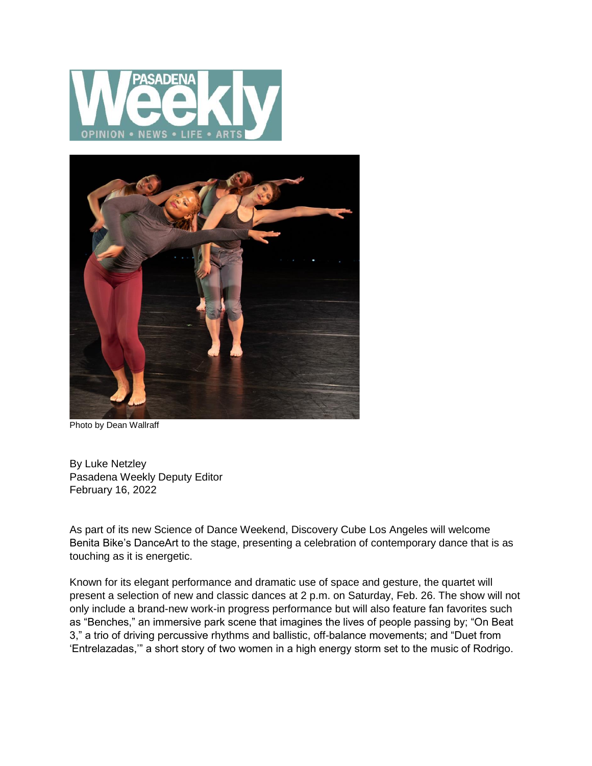



Photo by Dean Wallraff

By Luke Netzley Pasadena Weekly Deputy Editor February 16, 2022

As part of its new Science of Dance Weekend, Discovery Cube Los Angeles will welcome Benita Bike's DanceArt to the stage, presenting a celebration of contemporary dance that is as touching as it is energetic.

Known for its elegant performance and dramatic use of space and gesture, the quartet will present a selection of new and classic dances at 2 p.m. on Saturday, Feb. 26. The show will not only include a brand-new work-in progress performance but will also feature fan favorites such as "Benches," an immersive park scene that imagines the lives of people passing by; "On Beat 3," a trio of driving percussive rhythms and ballistic, off-balance movements; and "Duet from 'Entrelazadas,'" a short story of two women in a high energy storm set to the music of Rodrigo.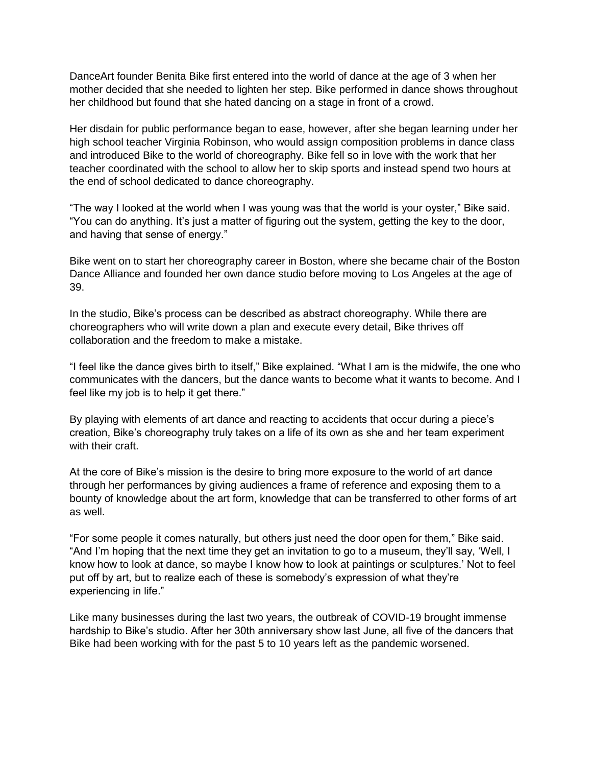DanceArt founder Benita Bike first entered into the world of dance at the age of 3 when her mother decided that she needed to lighten her step. Bike performed in dance shows throughout her childhood but found that she hated dancing on a stage in front of a crowd.

Her disdain for public performance began to ease, however, after she began learning under her high school teacher Virginia Robinson, who would assign composition problems in dance class and introduced Bike to the world of choreography. Bike fell so in love with the work that her teacher coordinated with the school to allow her to skip sports and instead spend two hours at the end of school dedicated to dance choreography.

"The way I looked at the world when I was young was that the world is your oyster," Bike said. "You can do anything. It's just a matter of figuring out the system, getting the key to the door, and having that sense of energy."

Bike went on to start her choreography career in Boston, where she became chair of the Boston Dance Alliance and founded her own dance studio before moving to Los Angeles at the age of 39.

In the studio, Bike's process can be described as abstract choreography. While there are choreographers who will write down a plan and execute every detail, Bike thrives off collaboration and the freedom to make a mistake.

"I feel like the dance gives birth to itself," Bike explained. "What I am is the midwife, the one who communicates with the dancers, but the dance wants to become what it wants to become. And I feel like my job is to help it get there."

By playing with elements of art dance and reacting to accidents that occur during a piece's creation, Bike's choreography truly takes on a life of its own as she and her team experiment with their craft.

At the core of Bike's mission is the desire to bring more exposure to the world of art dance through her performances by giving audiences a frame of reference and exposing them to a bounty of knowledge about the art form, knowledge that can be transferred to other forms of art as well.

"For some people it comes naturally, but others just need the door open for them," Bike said. "And I'm hoping that the next time they get an invitation to go to a museum, they'll say, 'Well, I know how to look at dance, so maybe I know how to look at paintings or sculptures.' Not to feel put off by art, but to realize each of these is somebody's expression of what they're experiencing in life."

Like many businesses during the last two years, the outbreak of COVID-19 brought immense hardship to Bike's studio. After her 30th anniversary show last June, all five of the dancers that Bike had been working with for the past 5 to 10 years left as the pandemic worsened.